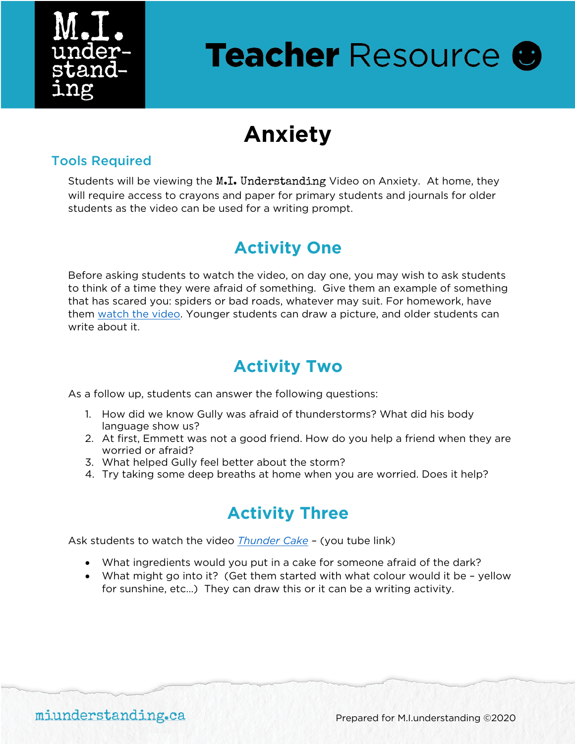

# **Teacher Resource ®**

## **Anxiety**

#### Tools Required

Students will be viewing the M.I. Understanding Video on Anxiety. At home, they will require access to crayons and paper for primary students and journals for older students as the video can be used for a writing prompt.

#### **Activity One**

Before asking students to watch the video, on day one, you may wish to ask students to think of a time they were afraid of something. Give them an example of something that has scared you: spiders or bad roads, whatever may suit. For homework, have them [watch the video.](https://www.miunderstanding.ca/how/anxiety/) Younger students can draw a picture, and older students can write about it.

### **Activity Two**

As a follow up, students can answer the following questions:

- 1. How did we know Gully was afraid of thunderstorms? What did his body language show us?
- 2. At first, Emmett was not a good friend. How do you help a friend when they are worried or afraid?
- 3. What helped Gully feel better about the storm?
- 4. Try taking some deep breaths at home when you are worried. Does it help?

## **Activity Three**

Ask students to watch the video *[Thunder Cake](https://youtu.be/YhhtKGCsAyY)* – (you tube link)

- What ingredients would you put in a cake for someone afraid of the dark?
- What might go into it? (Get them started with what colour would it be yellow for sunshine, etc…) They can draw this or it can be a writing activity.